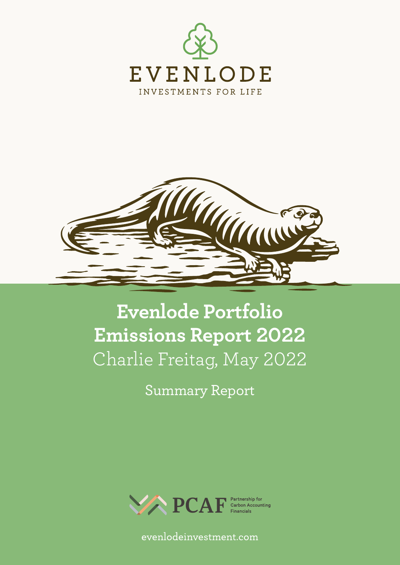



# **Evenlode Portfolio Emissions Report 2022** Charlie Freitag, May 2022

Summary Report



evenlodeinvestment.com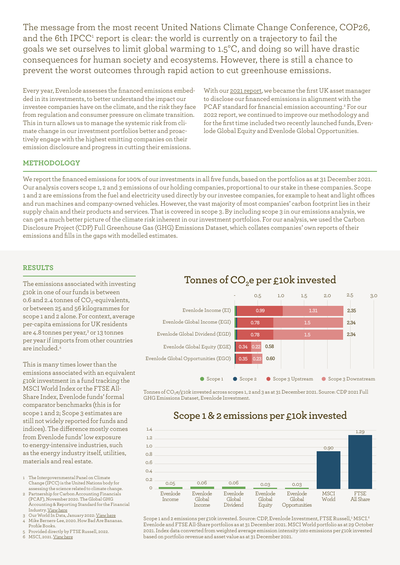The message from the most recent United Nations Climate Change Conference, COP26, and the 6th IPCC<sup>1</sup> report is clear: the world is currently on a trajectory to fail the goals we set ourselves to limit global warming to 1.5°C, and doing so will have drastic consequences for human society and ecosystems. However, there is still a chance to prevent the worst outcomes through rapid action to cut greenhouse emissions.

Every year, Evenlode assesses the financed emissions embedded in its investments, to better understand the impact our investee companies have on the climate, and the risk they face from regulation and consumer pressure on climate transition. This in turn allows us to manage the systemic risk from climate change in our investment portfolios better and proactively engage with the highest emitting companies on their emission disclosure and progress in cutting their emissions.

With our [2021 report,](https://evenlodeinvestment.com/resources/stewardship-assets/Evenlode-Portfolio-Carbon-Emissions-Report-2021_with-Exec-Summary.pdf) we became the first UK asset manager to disclose our financed emissions in alignment with the PCAF standard for financial emission accounting.<sup>2</sup> For our 2022 report, we continued to improve our methodology and for the first time included two recently launched funds, Evenlode Global Equity and Evenlode Global Opportunities.

#### **METHODOLOGY**

We report the financed emissions for 100% of our investments in all five funds, based on the portfolios as at 31 December 2021. Our analysis covers scope 1, 2 and 3 emissions of our holding companies, proportional to our stake in these companies. Scope 200 1 and 2 are emissions from the fuel and electricity used directly by our investee companies, for example to heat and light offices and run machines and company-owned vehicles. However, the vast majority of most companies' carbon footprint lies in their supply chain and their products and services. That is covered in scope 3. By including scope 3 in our emissions analysis, we 140 can get a much better picture of the climate risk inherent in our investment portfolios. For our analysis, we used the Carbon 120 Disclosure Project (CDP) Full Greenhouse Gas (GHG) Emissions Dataset, which collates companies' own reports of their emissions and fills in the gaps with modelled estimates. 80

### **RESULTS**

The emissions associated with investing £10k in one of our funds is between 0.6 and 2.4 tonnes of  $CO_2$ -equivalents, or between 25 and 56 kilogrammes for scope 1 and 2 alone. For context, average per-capita emissions for UK residents are 4.8 tonnes per year,<sup>3</sup> or 13 tonnes per year if imports from other countries are included.4

This is many times lower than the emissions associated with an equivalent £10k investment in a fund tracking the MSCI World Index or the FTSE All-Share Index, Evenlode funds' formal comparator benchmarks (this is for scope 1 and 2; Scope 3 estimates are still not widely reported for funds and indices). The difference mostly comes from Evenlode funds' low exposure to energy-intensive industries, such as the energy industry itself, utilities, materials and real estate.

- 1 The Intergovernmental Panel on Climate Change (IPCC) is the United Nations body for assessing the science related to climate change.
- 2 Partnership for Carbon Accounting Financials (PCAF), November 2020. The Global GHG Accounting & Reporting Standard for the Financial Industry. [View here](https://carbonaccountingfinancials.com/files/downloads/PCAF-Global-GHG-Standard.pdf)
- 3 Our World In Data, January 2022: [View here](https://ourworldindata.org/grapher/co-emissions-per-capita) 4 Mike Berners-Lee, 2020. How Bad Are Bananas.
- Profile Books. 5 Provided directly by FTSE Russell, 2022.
- MSCI, 2021. [View here](https://www.msci.com/index-carbon-footprint-metrics)

# Tonnes of CO<sub>2</sub>e per £10k invested



Tonnes of CO<sub>2</sub>e/£10k invested across scopes 1, 2 and 3 as at 31 December 2021. Source: CDP 2021 Full GHG Emissions Dataset, Evenlode Investment.

## **Scope 1 & 2 emissions per £10k invested**



Scope 1 and 2 emissions per £10k invested. Source: CDP, Evenlode Investment, FTSE Russell,5 MSCI.6 Evenlode and FTSE All-Share portfolios as at 31 December 2021. MSCI World portfolio as at 29 October 2021. Index data converted from weighted average emission intensity into emissions per £10k invested based on portfolio revenue and asset value as at 31 December 2021.